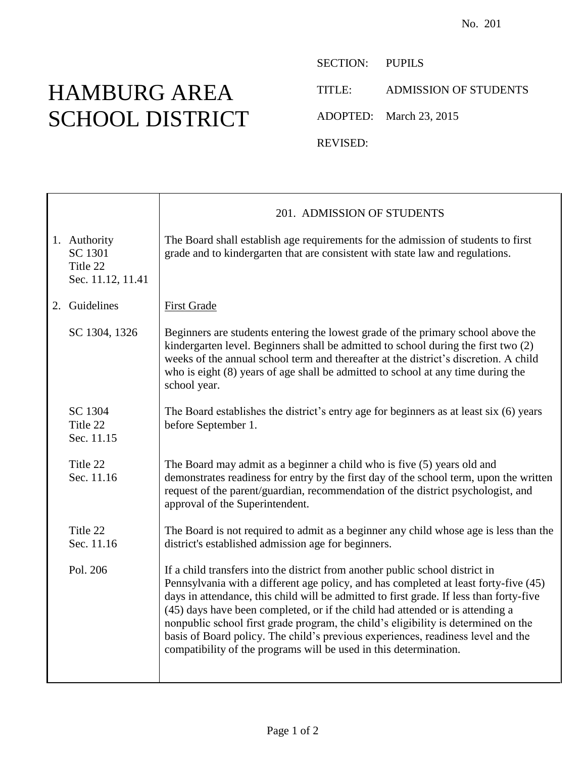## HAMBURG AREA SCHOOL DISTRICT

Т

SECTION: PUPILS

TITLE: ADMISSION OF STUDENTS

ADOPTED: March 23, 2015

REVISED:

|                                                          | 201. ADMISSION OF STUDENTS                                                                                                                                                                                                                                                                                                                                                                                                                                                                                                                                                                       |
|----------------------------------------------------------|--------------------------------------------------------------------------------------------------------------------------------------------------------------------------------------------------------------------------------------------------------------------------------------------------------------------------------------------------------------------------------------------------------------------------------------------------------------------------------------------------------------------------------------------------------------------------------------------------|
| 1. Authority<br>SC 1301<br>Title 22<br>Sec. 11.12, 11.41 | The Board shall establish age requirements for the admission of students to first<br>grade and to kindergarten that are consistent with state law and regulations.                                                                                                                                                                                                                                                                                                                                                                                                                               |
| 2. Guidelines                                            | <b>First Grade</b>                                                                                                                                                                                                                                                                                                                                                                                                                                                                                                                                                                               |
| SC 1304, 1326                                            | Beginners are students entering the lowest grade of the primary school above the<br>kindergarten level. Beginners shall be admitted to school during the first two (2)<br>weeks of the annual school term and thereafter at the district's discretion. A child<br>who is eight (8) years of age shall be admitted to school at any time during the<br>school year.                                                                                                                                                                                                                               |
| SC 1304<br>Title 22<br>Sec. 11.15                        | The Board establishes the district's entry age for beginners as at least six (6) years<br>before September 1.                                                                                                                                                                                                                                                                                                                                                                                                                                                                                    |
| Title 22<br>Sec. 11.16                                   | The Board may admit as a beginner a child who is five (5) years old and<br>demonstrates readiness for entry by the first day of the school term, upon the written<br>request of the parent/guardian, recommendation of the district psychologist, and<br>approval of the Superintendent.                                                                                                                                                                                                                                                                                                         |
| Title 22<br>Sec. 11.16                                   | The Board is not required to admit as a beginner any child whose age is less than the<br>district's established admission age for beginners.                                                                                                                                                                                                                                                                                                                                                                                                                                                     |
| Pol. 206                                                 | If a child transfers into the district from another public school district in<br>Pennsylvania with a different age policy, and has completed at least forty-five (45)<br>days in attendance, this child will be admitted to first grade. If less than forty-five<br>(45) days have been completed, or if the child had attended or is attending a<br>nonpublic school first grade program, the child's eligibility is determined on the<br>basis of Board policy. The child's previous experiences, readiness level and the<br>compatibility of the programs will be used in this determination. |